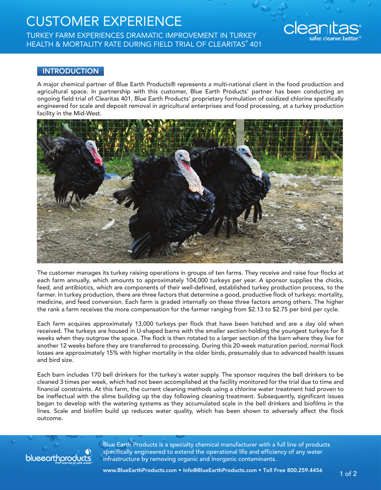## CUSTOMER EXPERIENCE

TURKEY FARM EXPERIENCES DRAMATIC IMPROVEMENT IN TURKEY HEALTH & MORTALITY RATE DURING FIELD TRIAL OF CLEARITAS® 401

## **INTRODUCTION**

A major chemical partner of Blue Earth Products® represents a multi-national client in the food production and agricultural space. In partnership with this customer, Blue Earth Products' partner has been conducting an ongoing field trial of Clearitas 401, Blue Earth Products' proprietary formulation of oxidized chlorine specifically engineered for scale and deposit removal in agricultural enterprises and food processing, at a turkey production facility in the Mid-West.



The customer manages its turkey raising operations in groups of ten farms. They receive and raise four flocks at each farm annually, which amounts to approximately 104,000 turkeys per year. A sponsor supplies the chicks, feed, and antibiotics, which are components of their well-defined, established turkey production process, to the farmer. In turkey production, there are three factors that determine a good, productive flock of turkeys: mortality, medicine, and feed conversion. Each farm is graded internally on these three factors among others. The higher the rank a farm receives the more compensation for the farmer ranging from \$2.13 to \$2.75 per bird per cycle.

Each farm acquires approximately 13,000 turkeys per flock that have been hatched and are a day old when received. The turkeys are housed in U-shaped barns with the smaller section holding the youngest turkeys for 8 weeks when they outgrow the space. The flock is then rotated to a larger section of the barn where they live for another 12 weeks before they are transferred to processing. During this 20-week maturation period, normal flock losses are approximately 15% with higher mortality in the older birds, presumably due to advanced health issues and bird size.

Each barn includes 170 bell drinkers for the turkey's water supply. The sponsor requires the bell drinkers to be cleaned 3 times per week, which had not been accomplished at the facility monitored for the trial due to time and financial constraints. At this farm, the current cleaning methods using a chlorine water treatment had proven to be ineffectual with the slime building up the day following cleaning treatment. Subsequently, significant issues began to develop with the watering systems as they accumulated scale in the bell drinkers and biofilms in the lines. Scale and biofilm build up reduces water quality, which has been shown to adversely affect the flock outcome.



Blue Earth Products is a specialty chemical manufacturer with a full line of products specifically engineered to extend the operational life and efficiency of any water infrastructure by removing organic and inorganic contaminants.

cleanitas